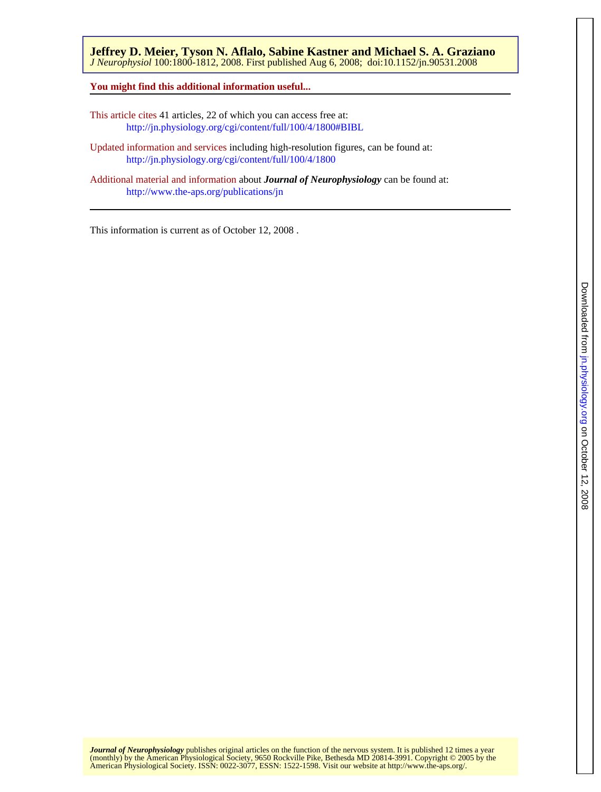**You might find this additional information useful...**

This article cites 41 articles, 22 of which you can access free at: <http://jn.physiology.org/cgi/content/full/100/4/1800#BIBL>

Updated information and services including high-resolution figures, can be found at: <http://jn.physiology.org/cgi/content/full/100/4/1800>

Additional material and information about *Journal of Neurophysiology* can be found at: <http://www.the-aps.org/publications/jn>

This information is current as of October 12, 2008 .

American Physiological Society. ISSN: 0022-3077, ESSN: 1522-1598. Visit our website at [http://www.the-aps.org/.](http://www.the-aps.org/) (monthly) by the American Physiological Society, 9650 Rockville Pike, Bethesda MD 20814-3991. Copyright © 2005 by the *Journal of Neurophysiology* publishes original articles on the function of the nervous system. It is published 12 times a year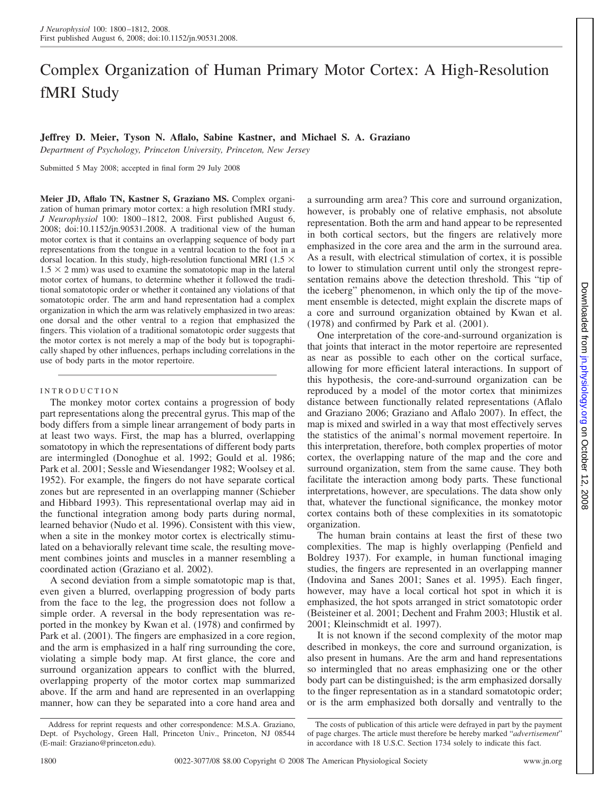# Complex Organization of Human Primary Motor Cortex: A High-Resolution fMRI Study

# **Jeffrey D. Meier, Tyson N. Aflalo, Sabine Kastner, and Michael S. A. Graziano**

*Department of Psychology, Princeton University, Princeton, New Jersey*

Submitted 5 May 2008; accepted in final form 29 July 2008

**Meier JD, Aflalo TN, Kastner S, Graziano MS.** Complex organization of human primary motor cortex: a high resolution fMRI study. *J Neurophysiol* 100: 1800 –1812, 2008. First published August 6, 2008; doi:10.1152/jn.90531.2008. A traditional view of the human motor cortex is that it contains an overlapping sequence of body part representations from the tongue in a ventral location to the foot in a dorsal location. In this study, high-resolution functional MRI (1.5  $\times$  $1.5 \times 2$  mm) was used to examine the somatotopic map in the lateral motor cortex of humans, to determine whether it followed the traditional somatotopic order or whether it contained any violations of that somatotopic order. The arm and hand representation had a complex organization in which the arm was relatively emphasized in two areas: one dorsal and the other ventral to a region that emphasized the fingers. This violation of a traditional somatotopic order suggests that the motor cortex is not merely a map of the body but is topographically shaped by other influences, perhaps including correlations in the use of body parts in the motor repertoire.

# INTRODUCTION

The monkey motor cortex contains a progression of body part representations along the precentral gyrus. This map of the body differs from a simple linear arrangement of body parts in at least two ways. First, the map has a blurred, overlapping somatotopy in which the representations of different body parts are intermingled (Donoghue et al. 1992; Gould et al. 1986; Park et al. 2001; Sessle and Wiesendanger 1982; Woolsey et al. 1952). For example, the fingers do not have separate cortical zones but are represented in an overlapping manner (Schieber and Hibbard 1993). This representational overlap may aid in the functional integration among body parts during normal, learned behavior (Nudo et al. 1996). Consistent with this view, when a site in the monkey motor cortex is electrically stimulated on a behaviorally relevant time scale, the resulting movement combines joints and muscles in a manner resembling a coordinated action (Graziano et al. 2002).

A second deviation from a simple somatotopic map is that, even given a blurred, overlapping progression of body parts from the face to the leg, the progression does not follow a simple order. A reversal in the body representation was reported in the monkey by Kwan et al. (1978) and confirmed by Park et al. (2001). The fingers are emphasized in a core region, and the arm is emphasized in a half ring surrounding the core, violating a simple body map. At first glance, the core and surround organization appears to conflict with the blurred, overlapping property of the motor cortex map summarized above. If the arm and hand are represented in an overlapping manner, how can they be separated into a core hand area and

a surrounding arm area? This core and surround organization, however, is probably one of relative emphasis, not absolute representation. Both the arm and hand appear to be represented in both cortical sectors, but the fingers are relatively more emphasized in the core area and the arm in the surround area. As a result, with electrical stimulation of cortex, it is possible to lower to stimulation current until only the strongest representation remains above the detection threshold. This "tip of the iceberg" phenomenon, in which only the tip of the movement ensemble is detected, might explain the discrete maps of a core and surround organization obtained by Kwan et al. (1978) and confirmed by Park et al. (2001).

One interpretation of the core-and-surround organization is that joints that interact in the motor repertoire are represented as near as possible to each other on the cortical surface, allowing for more efficient lateral interactions. In support of this hypothesis, the core-and-surround organization can be reproduced by a model of the motor cortex that minimizes distance between functionally related representations (Aflalo and Graziano 2006; Graziano and Aflalo 2007). In effect, the map is mixed and swirled in a way that most effectively serves the statistics of the animal's normal movement repertoire. In this interpretation, therefore, both complex properties of motor cortex, the overlapping nature of the map and the core and surround organization, stem from the same cause. They both facilitate the interaction among body parts. These functional interpretations, however, are speculations. The data show only that, whatever the functional significance, the monkey motor cortex contains both of these complexities in its somatotopic organization.

The human brain contains at least the first of these two complexities. The map is highly overlapping (Penfield and Boldrey 1937). For example, in human functional imaging studies, the fingers are represented in an overlapping manner (Indovina and Sanes 2001; Sanes et al. 1995). Each finger, however, may have a local cortical hot spot in which it is emphasized, the hot spots arranged in strict somatotopic order (Beisteiner et al. 2001; Dechent and Frahm 2003; Hlustik et al. 2001; Kleinschmidt et al. 1997).

It is not known if the second complexity of the motor map described in monkeys, the core and surround organization, is also present in humans. Are the arm and hand representations so intermingled that no areas emphasizing one or the other body part can be distinguished; is the arm emphasized dorsally to the finger representation as in a standard somatotopic order; or is the arm emphasized both dorsally and ventrally to the

Address for reprint requests and other correspondence: M.S.A. Graziano, Dept. of Psychology, Green Hall, Princeton Univ., Princeton, NJ 08544 (E-mail: Graziano@princeton.edu).

The costs of publication of this article were defrayed in part by the payment of page charges. The article must therefore be hereby marked "*advertisement*" in accordance with 18 U.S.C. Section 1734 solely to indicate this fact.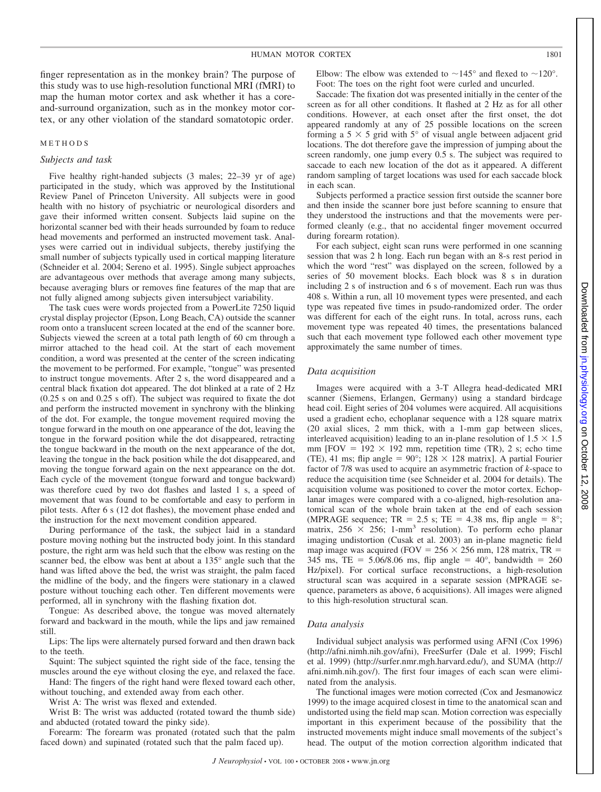finger representation as in the monkey brain? The purpose of this study was to use high-resolution functional MRI (fMRI) to map the human motor cortex and ask whether it has a coreand-surround organization, such as in the monkey motor cortex, or any other violation of the standard somatotopic order.

#### METHODS

#### *Subjects and task*

Five healthy right-handed subjects (3 males; 22–39 yr of age) participated in the study, which was approved by the Institutional Review Panel of Princeton University. All subjects were in good health with no history of psychiatric or neurological disorders and gave their informed written consent. Subjects laid supine on the horizontal scanner bed with their heads surrounded by foam to reduce head movements and performed an instructed movement task. Analyses were carried out in individual subjects, thereby justifying the small number of subjects typically used in cortical mapping literature (Schneider et al. 2004; Sereno et al. 1995). Single subject approaches are advantageous over methods that average among many subjects, because averaging blurs or removes fine features of the map that are not fully aligned among subjects given intersubject variability.

The task cues were words projected from a PowerLite 7250 liquid crystal display projector (Epson, Long Beach, CA) outside the scanner room onto a translucent screen located at the end of the scanner bore. Subjects viewed the screen at a total path length of 60 cm through a mirror attached to the head coil. At the start of each movement condition, a word was presented at the center of the screen indicating the movement to be performed. For example, "tongue" was presented to instruct tongue movements. After 2 s, the word disappeared and a central black fixation dot appeared. The dot blinked at a rate of 2 Hz (0.25 s on and 0.25 s off). The subject was required to fixate the dot and perform the instructed movement in synchrony with the blinking of the dot. For example, the tongue movement required moving the tongue forward in the mouth on one appearance of the dot, leaving the tongue in the forward position while the dot disappeared, retracting the tongue backward in the mouth on the next appearance of the dot, leaving the tongue in the back position while the dot disappeared, and moving the tongue forward again on the next appearance on the dot. Each cycle of the movement (tongue forward and tongue backward) was therefore cued by two dot flashes and lasted 1 s, a speed of movement that was found to be comfortable and easy to perform in pilot tests. After 6 s (12 dot flashes), the movement phase ended and the instruction for the next movement condition appeared.

During performance of the task, the subject laid in a standard posture moving nothing but the instructed body joint. In this standard posture, the right arm was held such that the elbow was resting on the scanner bed, the elbow was bent at about a 135° angle such that the hand was lifted above the bed, the wrist was straight, the palm faced the midline of the body, and the fingers were stationary in a clawed posture without touching each other. Ten different movements were performed, all in synchrony with the flashing fixation dot.

Tongue: As described above, the tongue was moved alternately forward and backward in the mouth, while the lips and jaw remained still.

Lips: The lips were alternately pursed forward and then drawn back to the teeth.

Squint: The subject squinted the right side of the face, tensing the muscles around the eye without closing the eye, and relaxed the face.

Hand: The fingers of the right hand were flexed toward each other, without touching, and extended away from each other.

Wrist A: The wrist was flexed and extended.

Wrist B: The wrist was adducted (rotated toward the thumb side) and abducted (rotated toward the pinky side).

Forearm: The forearm was pronated (rotated such that the palm faced down) and supinated (rotated such that the palm faced up).

Elbow: The elbow was extended to  $\sim$ 145 $\degree$  and flexed to  $\sim$ 120 $\degree$ . Foot: The toes on the right foot were curled and uncurled.

Saccade: The fixation dot was presented initially in the center of the screen as for all other conditions. It flashed at 2 Hz as for all other conditions. However, at each onset after the first onset, the dot appeared randomly at any of 25 possible locations on the screen forming a  $5 \times 5$  grid with  $5^{\circ}$  of visual angle between adjacent grid locations. The dot therefore gave the impression of jumping about the screen randomly, one jump every 0.5 s. The subject was required to saccade to each new location of the dot as it appeared. A different random sampling of target locations was used for each saccade block in each scan.

Subjects performed a practice session first outside the scanner bore and then inside the scanner bore just before scanning to ensure that they understood the instructions and that the movements were performed cleanly (e.g., that no accidental finger movement occurred during forearm rotation).

For each subject, eight scan runs were performed in one scanning session that was 2 h long. Each run began with an 8-s rest period in which the word "rest" was displayed on the screen, followed by a series of 50 movement blocks. Each block was 8 s in duration including 2 s of instruction and 6 s of movement. Each run was thus 408 s. Within a run, all 10 movement types were presented, and each type was repeated five times in psudo-randomized order. The order was different for each of the eight runs. In total, across runs, each movement type was repeated 40 times, the presentations balanced such that each movement type followed each other movement type approximately the same number of times.

#### *Data acquisition*

Images were acquired with a 3-T Allegra head-dedicated MRI scanner (Siemens, Erlangen, Germany) using a standard birdcage head coil. Eight series of 204 volumes were acquired. All acquisitions used a gradient echo, echoplanar sequence with a 128 square matrix (20 axial slices, 2 mm thick, with a 1-mm gap between slices, interleaved acquisition) leading to an in-plane resolution of  $1.5 \times 1.5$ mm [FOV =  $192 \times 192$  mm, repetition time (TR), 2 s; echo time (TE), 41 ms; flip angle =  $90^{\circ}$ ; 128  $\times$  128 matrix]. A partial Fourier factor of 7/8 was used to acquire an asymmetric fraction of *k*-space to reduce the acquisition time (see Schneider et al. 2004 for details). The acquisition volume was positioned to cover the motor cortex. Echoplanar images were compared with a co-aligned, high-resolution anatomical scan of the whole brain taken at the end of each session (MPRAGE sequence; TR = 2.5 s; TE = 4.38 ms, flip angle =  $8^\circ$ ; matrix,  $256 \times 256$ ; 1-mm<sup>3</sup> resolution). To perform echo planar imaging undistortion (Cusak et al. 2003) an in-plane magnetic field map image was acquired (FOV =  $256 \times 256$  mm, 128 matrix, TR = 345 ms, TE =  $5.06/8.06$  ms, flip angle =  $40^{\circ}$ , bandwidth =  $260$ Hz/pixel). For cortical surface reconstructions, a high-resolution structural scan was acquired in a separate session (MPRAGE sequence, parameters as above, 6 acquisitions). All images were aligned to this high-resolution structural scan.

## *Data analysis*

Individual subject analysis was performed using AFNI (Cox 1996) (http://afni.nimh.nih.gov/afni), FreeSurfer (Dale et al. 1999; Fischl et al. 1999) (http://surfer.nmr.mgh.harvard.edu/), and SUMA (http:// afni.nimh.nih.gov/). The first four images of each scan were eliminated from the analysis.

The functional images were motion corrected (Cox and Jesmanowicz 1999) to the image acquired closest in time to the anatomical scan and undistorted using the field map scan. Motion correction was especially important in this experiment because of the possibility that the instructed movements might induce small movements of the subject's head. The output of the motion correction algorithm indicated that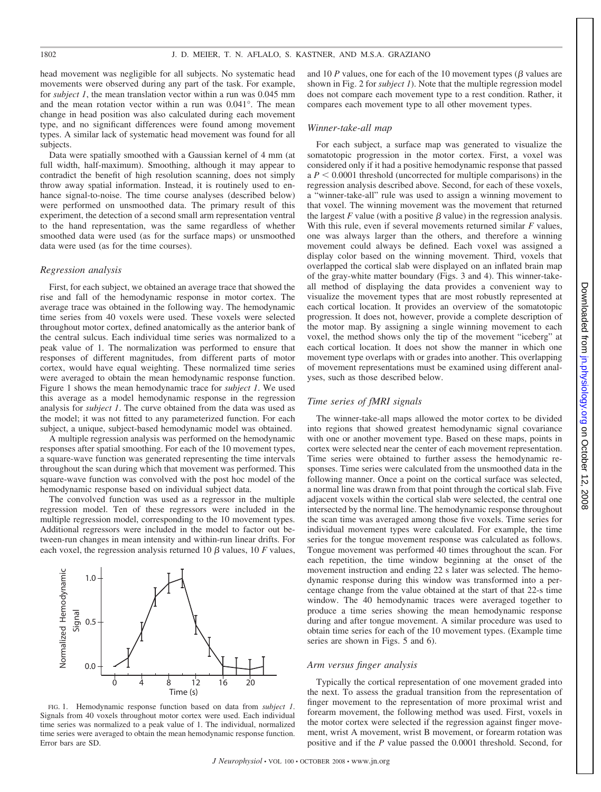head movement was negligible for all subjects. No systematic head movements were observed during any part of the task. For example, for *subject 1*, the mean translation vector within a run was 0.045 mm and the mean rotation vector within a run was 0.041°. The mean change in head position was also calculated during each movement type, and no significant differences were found among movement types. A similar lack of systematic head movement was found for all subjects.

Data were spatially smoothed with a Gaussian kernel of 4 mm (at full width, half-maximum). Smoothing, although it may appear to contradict the benefit of high resolution scanning, does not simply throw away spatial information. Instead, it is routinely used to enhance signal-to-noise. The time course analyses (described below) were performed on unsmoothed data. The primary result of this experiment, the detection of a second small arm representation ventral to the hand representation, was the same regardless of whether smoothed data were used (as for the surface maps) or unsmoothed data were used (as for the time courses).

# *Regression analysis*

First, for each subject, we obtained an average trace that showed the rise and fall of the hemodynamic response in motor cortex. The average trace was obtained in the following way. The hemodynamic time series from 40 voxels were used. These voxels were selected throughout motor cortex, defined anatomically as the anterior bank of the central sulcus. Each individual time series was normalized to a peak value of 1. The normalization was performed to ensure that responses of different magnitudes, from different parts of motor cortex, would have equal weighting. These normalized time series were averaged to obtain the mean hemodynamic response function. Figure 1 shows the mean hemodynamic trace for *subject 1*. We used this average as a model hemodynamic response in the regression analysis for *subject 1*. The curve obtained from the data was used as the model; it was not fitted to any parameterized function. For each subject, a unique, subject-based hemodynamic model was obtained.

A multiple regression analysis was performed on the hemodynamic responses after spatial smoothing. For each of the 10 movement types, a square-wave function was generated representing the time intervals throughout the scan during which that movement was performed. This square-wave function was convolved with the post hoc model of the hemodynamic response based on individual subject data.

The convolved function was used as a regressor in the multiple regression model. Ten of these regressors were included in the multiple regression model, corresponding to the 10 movement types. Additional regressors were included in the model to factor out between-run changes in mean intensity and within-run linear drifts. For each voxel, the regression analysis returned 10  $\beta$  values, 10 *F* values,



FIG. 1. Hemodynamic response function based on data from *subject 1*. Signals from 40 voxels throughout motor cortex were used. Each individual time series was normalized to a peak value of 1. The individual, normalized time series were averaged to obtain the mean hemodynamic response function. Error bars are SD.

and 10 *P* values, one for each of the 10 movement types ( $\beta$  values are shown in Fig. 2 for *subject 1*). Note that the multiple regression model does not compare each movement type to a rest condition. Rather, it compares each movement type to all other movement types.

#### *Winner-take-all map*

For each subject, a surface map was generated to visualize the somatotopic progression in the motor cortex. First, a voxel was considered only if it had a positive hemodynamic response that passed a  $P < 0.0001$  threshold (uncorrected for multiple comparisons) in the regression analysis described above. Second, for each of these voxels, a "winner-take-all" rule was used to assign a winning movement to that voxel. The winning movement was the movement that returned the largest *F* value (with a positive  $\beta$  value) in the regression analysis. With this rule, even if several movements returned similar *F* values, one was always larger than the others, and therefore a winning movement could always be defined. Each voxel was assigned a display color based on the winning movement. Third, voxels that overlapped the cortical slab were displayed on an inflated brain map of the gray-white matter boundary (Figs. 3 and 4). This winner-takeall method of displaying the data provides a convenient way to visualize the movement types that are most robustly represented at each cortical location. It provides an overview of the somatotopic progression. It does not, however, provide a complete description of the motor map. By assigning a single winning movement to each voxel, the method shows only the tip of the movement "iceberg" at each cortical location. It does not show the manner in which one movement type overlaps with or grades into another. This overlapping of movement representations must be examined using different analyses, such as those described below.

# *Time series of fMRI signals*

The winner-take-all maps allowed the motor cortex to be divided into regions that showed greatest hemodynamic signal covariance with one or another movement type. Based on these maps, points in cortex were selected near the center of each movement representation. Time series were obtained to further assess the hemodynamic responses. Time series were calculated from the unsmoothed data in the following manner. Once a point on the cortical surface was selected, a normal line was drawn from that point through the cortical slab. Five adjacent voxels within the cortical slab were selected, the central one intersected by the normal line. The hemodynamic response throughout the scan time was averaged among those five voxels. Time series for individual movement types were calculated. For example, the time series for the tongue movement response was calculated as follows. Tongue movement was performed 40 times throughout the scan. For each repetition, the time window beginning at the onset of the movement instruction and ending 22 s later was selected. The hemodynamic response during this window was transformed into a percentage change from the value obtained at the start of that 22-s time window. The 40 hemodynamic traces were averaged together to produce a time series showing the mean hemodynamic response during and after tongue movement. A similar procedure was used to obtain time series for each of the 10 movement types. (Example time series are shown in Figs. 5 and 6).

# *Arm versus finger analysis*

Typically the cortical representation of one movement graded into the next. To assess the gradual transition from the representation of finger movement to the representation of more proximal wrist and forearm movement, the following method was used. First, voxels in the motor cortex were selected if the regression against finger movement, wrist A movement, wrist B movement, or forearm rotation was positive and if the *P* value passed the 0.0001 threshold. Second, for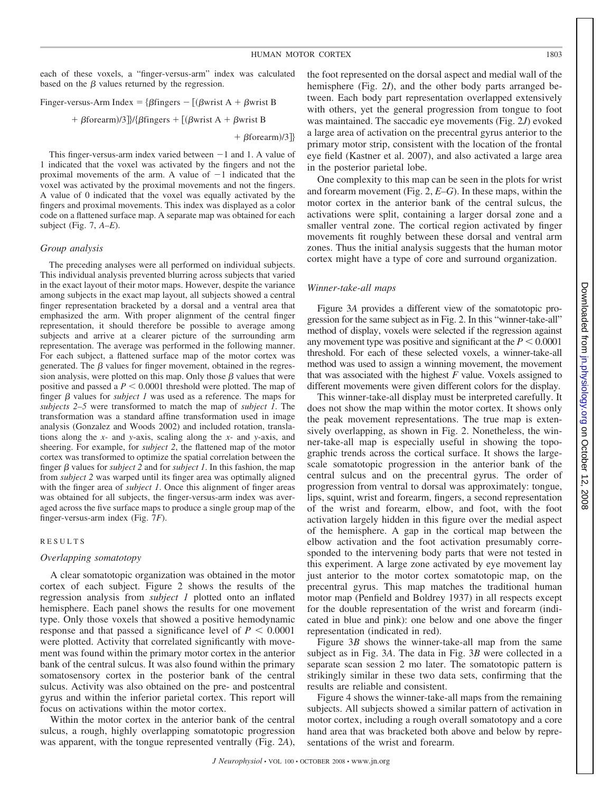each of these voxels, a "finger-versus-arm" index was calculated based on the  $\beta$  values returned by the regression.

## Finger-versus-Arm Index = { $\beta$ fingers - [( $\beta$ wrist A +  $\beta$ wrist B

+ 
$$
\beta
$$
 for  
earn)/3]/ $\beta$  fingers +  $[(\beta$ wrist A +  $\beta$ wrist B

 $+ \beta$ forearm)/3]}

This finger-versus-arm index varied between  $-1$  and 1. A value of 1 indicated that the voxel was activated by the fingers and not the proximal movements of the arm. A value of  $-1$  indicated that the voxel was activated by the proximal movements and not the fingers. A value of 0 indicated that the voxel was equally activated by the fingers and proximal movements. This index was displayed as a color code on a flattened surface map. A separate map was obtained for each subject (Fig. 7, *A–E*).

# *Group analysis*

The preceding analyses were all performed on individual subjects. This individual analysis prevented blurring across subjects that varied in the exact layout of their motor maps. However, despite the variance among subjects in the exact map layout, all subjects showed a central finger representation bracketed by a dorsal and a ventral area that emphasized the arm. With proper alignment of the central finger representation, it should therefore be possible to average among subjects and arrive at a clearer picture of the surrounding arm representation. The average was performed in the following manner. For each subject, a flattened surface map of the motor cortex was generated. The  $\beta$  values for finger movement, obtained in the regression analysis, were plotted on this map. Only those  $\beta$  values that were positive and passed a  $P \le 0.0001$  threshold were plotted. The map of finger  $\beta$  values for *subject 1* was used as a reference. The maps for *subjects 2–5* were transformed to match the map of *subject 1*. The transformation was a standard affine transformation used in image analysis (Gonzalez and Woods 2002) and included rotation, translations along the *x-* and *y*-axis, scaling along the *x-* and *y*-axis, and sheering. For example, for *subject 2*, the flattened map of the motor cortex was transformed to optimize the spatial correlation between the finger  $\beta$  values for *subject* 2 and for *subject* 1. In this fashion, the map from *subject 2* was warped until its finger area was optimally aligned with the finger area of *subject 1*. Once this alignment of finger areas was obtained for all subjects, the finger-versus-arm index was averaged across the five surface maps to produce a single group map of the finger-versus-arm index (Fig. 7*F*).

#### RESULTS

#### *Overlapping somatotopy*

A clear somatotopic organization was obtained in the motor cortex of each subject. Figure 2 shows the results of the regression analysis from *subject 1* plotted onto an inflated hemisphere. Each panel shows the results for one movement type. Only those voxels that showed a positive hemodynamic response and that passed a significance level of  $P < 0.0001$ were plotted. Activity that correlated significantly with movement was found within the primary motor cortex in the anterior bank of the central sulcus. It was also found within the primary somatosensory cortex in the posterior bank of the central sulcus. Activity was also obtained on the pre- and postcentral gyrus and within the inferior parietal cortex. This report will focus on activations within the motor cortex.

Within the motor cortex in the anterior bank of the central sulcus, a rough, highly overlapping somatotopic progression was apparent, with the tongue represented ventrally (Fig. 2*A*), the foot represented on the dorsal aspect and medial wall of the hemisphere (Fig. 2*I*), and the other body parts arranged between. Each body part representation overlapped extensively with others, yet the general progression from tongue to foot was maintained. The saccadic eye movements (Fig. 2*J*) evoked a large area of activation on the precentral gyrus anterior to the primary motor strip, consistent with the location of the frontal eye field (Kastner et al. 2007), and also activated a large area in the posterior parietal lobe.

One complexity to this map can be seen in the plots for wrist and forearm movement (Fig. 2, *E–G*). In these maps, within the motor cortex in the anterior bank of the central sulcus, the activations were split, containing a larger dorsal zone and a smaller ventral zone. The cortical region activated by finger movements fit roughly between these dorsal and ventral arm zones. Thus the initial analysis suggests that the human motor cortex might have a type of core and surround organization.

# *Winner-take-all maps*

Figure 3*A* provides a different view of the somatotopic progression for the same subject as in Fig. 2. In this "winner-take-all" method of display, voxels were selected if the regression against any movement type was positive and significant at the  $P \leq 0.0001$ threshold. For each of these selected voxels, a winner-take-all method was used to assign a winning movement, the movement that was associated with the highest *F* value. Voxels assigned to different movements were given different colors for the display.

This winner-take-all display must be interpreted carefully. It does not show the map within the motor cortex. It shows only the peak movement representations. The true map is extensively overlapping, as shown in Fig. 2. Nonetheless, the winner-take-all map is especially useful in showing the topographic trends across the cortical surface. It shows the largescale somatotopic progression in the anterior bank of the central sulcus and on the precentral gyrus. The order of progression from ventral to dorsal was approximately: tongue, lips, squint, wrist and forearm, fingers, a second representation of the wrist and forearm, elbow, and foot, with the foot activation largely hidden in this figure over the medial aspect of the hemisphere. A gap in the cortical map between the elbow activation and the foot activation presumably corresponded to the intervening body parts that were not tested in this experiment. A large zone activated by eye movement lay just anterior to the motor cortex somatotopic map, on the precentral gyrus. This map matches the traditional human motor map (Penfield and Boldrey 1937) in all respects except for the double representation of the wrist and forearm (indicated in blue and pink): one below and one above the finger representation (indicated in red).

Figure 3*B* shows the winner-take-all map from the same subject as in Fig. 3*A*. The data in Fig. 3*B* were collected in a separate scan session 2 mo later. The somatotopic pattern is strikingly similar in these two data sets, confirming that the results are reliable and consistent.

Figure 4 shows the winner-take-all maps from the remaining subjects. All subjects showed a similar pattern of activation in motor cortex, including a rough overall somatotopy and a core hand area that was bracketed both above and below by representations of the wrist and forearm.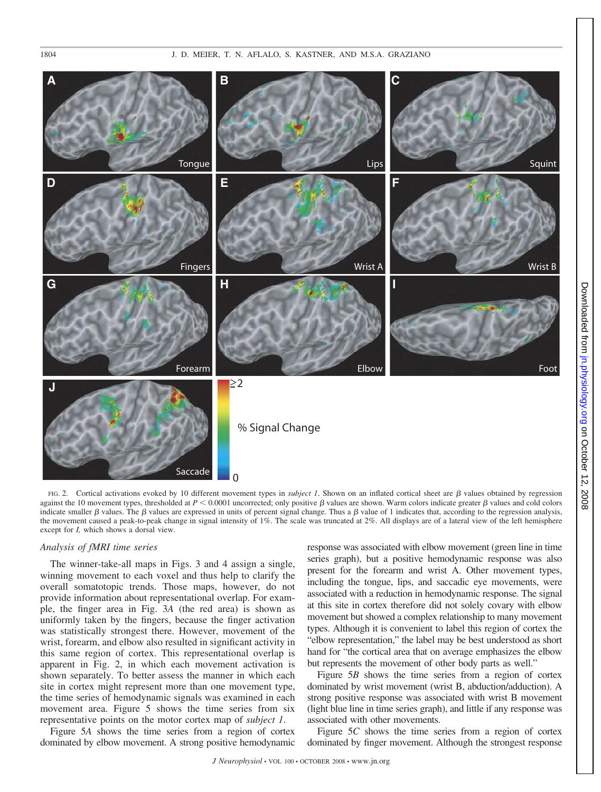

FIG. 2. Cortical activations evoked by 10 different movement types in *subject 1*. Shown on an inflated cortical sheet are  $\beta$  values obtained by regression against the 10 movement types, thresholded at  $P < 0.0001$  uncorrected; only positive  $\beta$  values are shown. Warm colors indicate greater  $\beta$  values and cold colors indicate smaller  $\beta$  values. The  $\beta$  values are expressed in units of percent signal change. Thus a  $\beta$  value of 1 indicates that, according to the regression analysis, the movement caused a peak-to-peak change in signal intensity of 1%. The scale was truncated at 2%. All displays are of a lateral view of the left hemisphere except for *I,* which shows a dorsal view.

#### *Analysis of fMRI time series*

The winner-take-all maps in Figs. 3 and 4 assign a single, winning movement to each voxel and thus help to clarify the overall somatotopic trends. Those maps, however, do not provide information about representational overlap. For example, the finger area in Fig. 3*A* (the red area) is shown as uniformly taken by the fingers, because the finger activation was statistically strongest there. However, movement of the wrist, forearm, and elbow also resulted in significant activity in this same region of cortex. This representational overlap is apparent in Fig. 2, in which each movement activation is shown separately. To better assess the manner in which each site in cortex might represent more than one movement type, the time series of hemodynamic signals was examined in each movement area. Figure 5 shows the time series from six representative points on the motor cortex map of *subject 1*.

Figure 5*A* shows the time series from a region of cortex dominated by elbow movement. A strong positive hemodynamic response was associated with elbow movement (green line in time series graph), but a positive hemodynamic response was also present for the forearm and wrist A. Other movement types, including the tongue, lips, and saccadic eye movements, were associated with a reduction in hemodynamic response. The signal at this site in cortex therefore did not solely covary with elbow movement but showed a complex relationship to many movement types. Although it is convenient to label this region of cortex the "elbow representation," the label may be best understood as short hand for "the cortical area that on average emphasizes the elbow but represents the movement of other body parts as well."

Figure 5*B* shows the time series from a region of cortex dominated by wrist movement (wrist B, abduction/adduction). A strong positive response was associated with wrist B movement (light blue line in time series graph), and little if any response was associated with other movements.

Figure 5*C* shows the time series from a region of cortex dominated by finger movement. Although the strongest response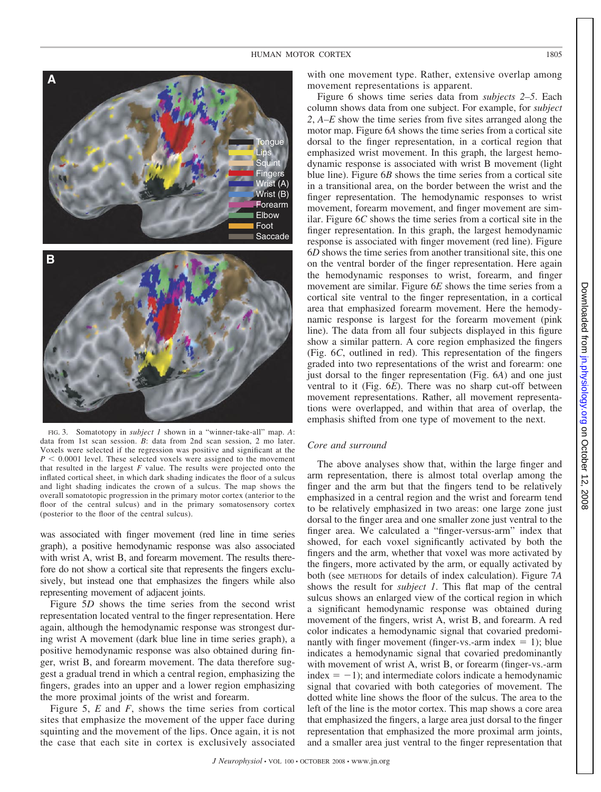

FIG. 3. Somatotopy in *subject 1* shown in a "winner-take-all" map. *A*: data from 1st scan session. *B*: data from 2nd scan session, 2 mo later. Voxels were selected if the regression was positive and significant at the  $P < 0.0001$  level. These selected voxels were assigned to the movement that resulted in the largest *F* value. The results were projected onto the inflated cortical sheet, in which dark shading indicates the floor of a sulcus and light shading indicates the crown of a sulcus. The map shows the overall somatotopic progression in the primary motor cortex (anterior to the floor of the central sulcus) and in the primary somatosensory cortex (posterior to the floor of the central sulcus).

was associated with finger movement (red line in time series graph), a positive hemodynamic response was also associated with wrist A, wrist B, and forearm movement. The results therefore do not show a cortical site that represents the fingers exclusively, but instead one that emphasizes the fingers while also representing movement of adjacent joints.

Figure 5*D* shows the time series from the second wrist representation located ventral to the finger representation. Here again, although the hemodynamic response was strongest during wrist A movement (dark blue line in time series graph), a positive hemodynamic response was also obtained during finger, wrist B, and forearm movement. The data therefore suggest a gradual trend in which a central region, emphasizing the fingers, grades into an upper and a lower region emphasizing the more proximal joints of the wrist and forearm.

Figure 5, *E* and *F*, shows the time series from cortical sites that emphasize the movement of the upper face during squinting and the movement of the lips. Once again, it is not the case that each site in cortex is exclusively associated with one movement type. Rather, extensive overlap among movement representations is apparent.

Figure 6 shows time series data from *subjects 2–5*. Each column shows data from one subject. For example, for *subject 2*, *A–E* show the time series from five sites arranged along the motor map. Figure 6*A* shows the time series from a cortical site dorsal to the finger representation, in a cortical region that emphasized wrist movement. In this graph, the largest hemodynamic response is associated with wrist B movement (light blue line). Figure 6*B* shows the time series from a cortical site in a transitional area, on the border between the wrist and the finger representation. The hemodynamic responses to wrist movement, forearm movement, and finger movement are similar. Figure 6*C* shows the time series from a cortical site in the finger representation. In this graph, the largest hemodynamic response is associated with finger movement (red line). Figure 6*D* shows the time series from another transitional site, this one on the ventral border of the finger representation. Here again the hemodynamic responses to wrist, forearm, and finger movement are similar. Figure 6*E* shows the time series from a cortical site ventral to the finger representation, in a cortical area that emphasized forearm movement. Here the hemodynamic response is largest for the forearm movement (pink line). The data from all four subjects displayed in this figure show a similar pattern. A core region emphasized the fingers (Fig. 6*C*, outlined in red). This representation of the fingers graded into two representations of the wrist and forearm: one just dorsal to the finger representation (Fig. 6*A*) and one just ventral to it (Fig. 6*E*). There was no sharp cut-off between movement representations. Rather, all movement representations were overlapped, and within that area of overlap, the emphasis shifted from one type of movement to the next.

## *Core and surround*

The above analyses show that, within the large finger and arm representation, there is almost total overlap among the finger and the arm but that the fingers tend to be relatively emphasized in a central region and the wrist and forearm tend to be relatively emphasized in two areas: one large zone just dorsal to the finger area and one smaller zone just ventral to the finger area. We calculated a "finger-versus-arm" index that showed, for each voxel significantly activated by both the fingers and the arm, whether that voxel was more activated by the fingers, more activated by the arm, or equally activated by both (see METHODS for details of index calculation). Figure 7*A* shows the result for *subject 1*. This flat map of the central sulcus shows an enlarged view of the cortical region in which a significant hemodynamic response was obtained during movement of the fingers, wrist A, wrist B, and forearm. A red color indicates a hemodynamic signal that covaried predominantly with finger movement (finger-vs.-arm index  $= 1$ ); blue indicates a hemodynamic signal that covaried predominantly with movement of wrist A, wrist B, or forearm (finger-vs.-arm index  $= -1$ ; and intermediate colors indicate a hemodynamic signal that covaried with both categories of movement. The dotted white line shows the floor of the sulcus. The area to the left of the line is the motor cortex. This map shows a core area that emphasized the fingers, a large area just dorsal to the finger representation that emphasized the more proximal arm joints, and a smaller area just ventral to the finger representation that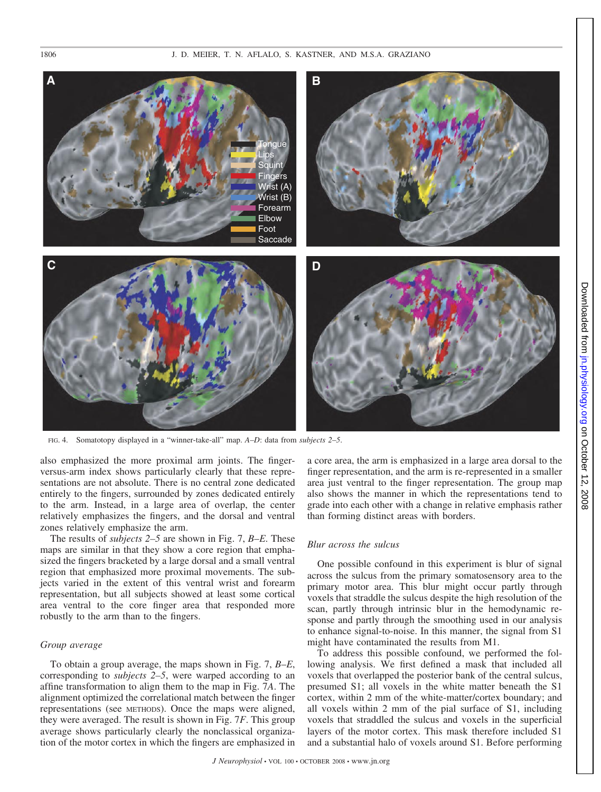

FIG. 4. Somatotopy displayed in a "winner-take-all" map. *A–D*: data from *subjects 2–5*.

also emphasized the more proximal arm joints. The fingerversus-arm index shows particularly clearly that these representations are not absolute. There is no central zone dedicated entirely to the fingers, surrounded by zones dedicated entirely to the arm. Instead, in a large area of overlap, the center relatively emphasizes the fingers, and the dorsal and ventral zones relatively emphasize the arm.

The results of *subjects 2–5* are shown in Fig. 7, *B*–*E*. These maps are similar in that they show a core region that emphasized the fingers bracketed by a large dorsal and a small ventral region that emphasized more proximal movements. The subjects varied in the extent of this ventral wrist and forearm representation, but all subjects showed at least some cortical area ventral to the core finger area that responded more robustly to the arm than to the fingers.

# *Group average*

To obtain a group average, the maps shown in Fig. 7, *B*–*E*, corresponding to *subjects 2–5*, were warped according to an affine transformation to align them to the map in Fig. 7*A*. The alignment optimized the correlational match between the finger representations (see METHODS). Once the maps were aligned, they were averaged. The result is shown in Fig. 7*F*. This group average shows particularly clearly the nonclassical organization of the motor cortex in which the fingers are emphasized in

a core area, the arm is emphasized in a large area dorsal to the finger representation, and the arm is re-represented in a smaller area just ventral to the finger representation. The group map also shows the manner in which the representations tend to grade into each other with a change in relative emphasis rather than forming distinct areas with borders.

## *Blur across the sulcus*

One possible confound in this experiment is blur of signal across the sulcus from the primary somatosensory area to the primary motor area. This blur might occur partly through voxels that straddle the sulcus despite the high resolution of the scan, partly through intrinsic blur in the hemodynamic response and partly through the smoothing used in our analysis to enhance signal-to-noise. In this manner, the signal from S1 might have contaminated the results from M1.

To address this possible confound, we performed the following analysis. We first defined a mask that included all voxels that overlapped the posterior bank of the central sulcus, presumed S1; all voxels in the white matter beneath the S1 cortex, within 2 mm of the white-matter/cortex boundary; and all voxels within 2 mm of the pial surface of S1, including voxels that straddled the sulcus and voxels in the superficial layers of the motor cortex. This mask therefore included S1 and a substantial halo of voxels around S1. Before performing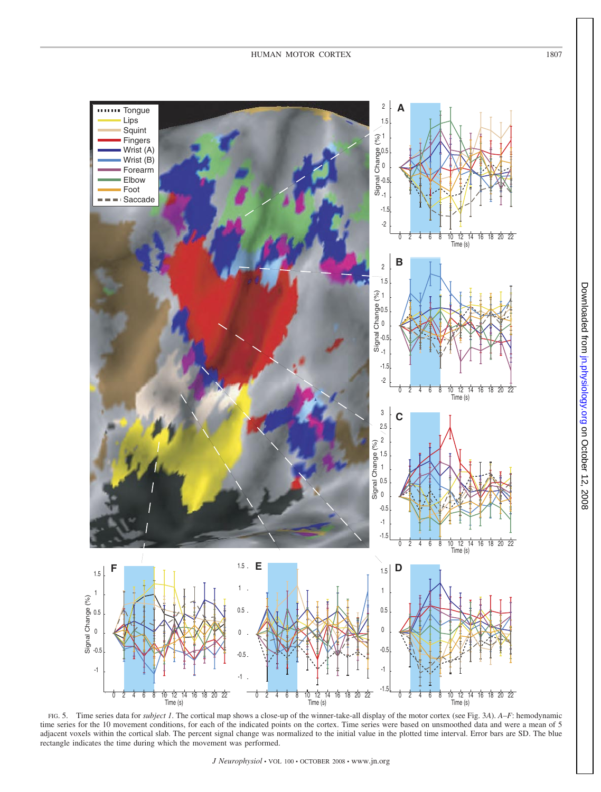

FIG. 5. Time series data for *subject 1*. The cortical map shows a close-up of the winner-take-all display of the motor cortex (see Fig. 3*A*). *A–F*: hemodynamic time series for the 10 movement conditions, for each of the indicated points on the cortex. Time series were based on unsmoothed data and were a mean of 5 adjacent voxels within the cortical slab. The percent signal change was normalized to the initial value in the plotted time interval. Error bars are SD. The blue rectangle indicates the time during which the movement was performed.

*J Neurophysiol* • VOL 100 • OCTOBER 2008 • www.jn.org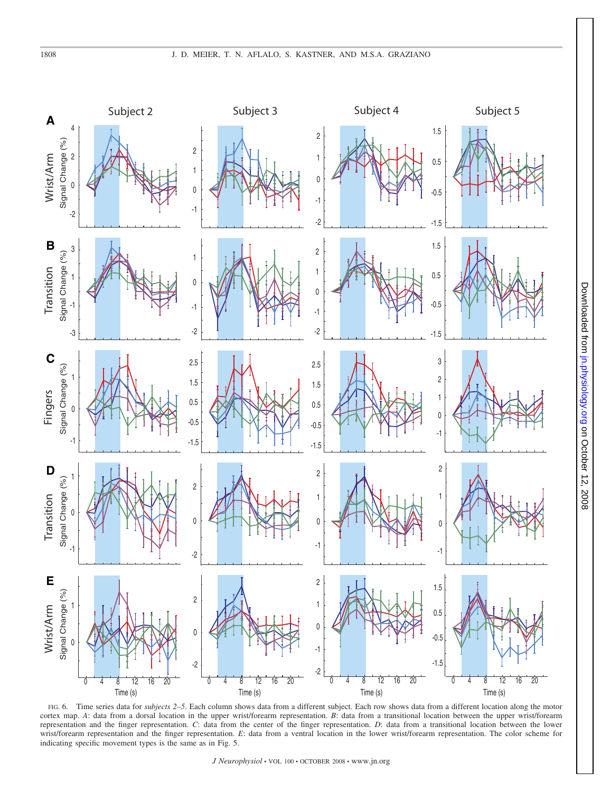

FIG. 6. Time series data for *subjects 2–5*. Each column shows data from a different subject. Each row shows data from a different location along the motor cortex map. *A*: data from a dorsal location in the upper wrist/forearm representation. *B*: data from a transitional location between the upper wrist/forearm representation and the finger representation. *C*: data from the center of the finger representation. *D*: data from a transitional location between the lower wrist/forearm representation and the finger representation. *E*: data from a ventral location in the lower wrist/forearm representation. The color scheme for indicating specific movement types is the same as in Fig. 5.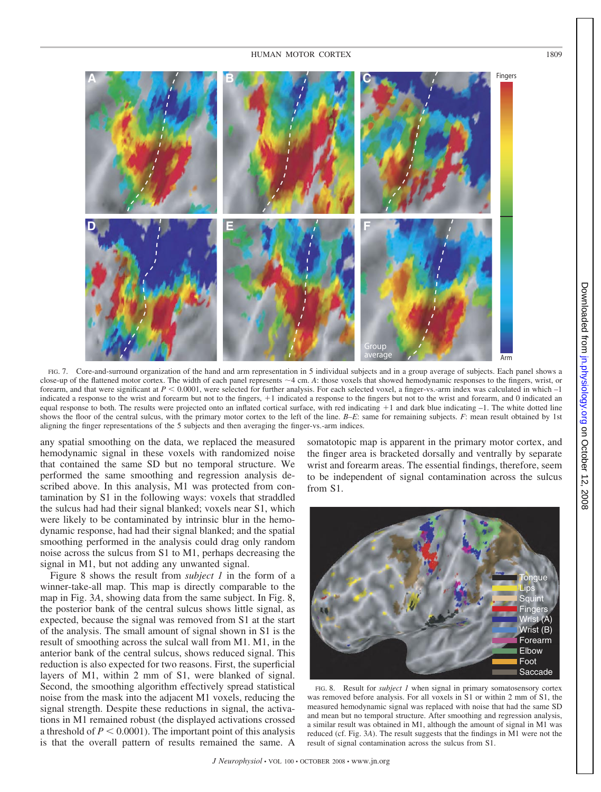

FIG. 7. Core-and-surround organization of the hand and arm representation in 5 individual subjects and in a group average of subjects. Each panel shows a close-up of the flattened motor cortex. The width of each panel represents  $\sim$ 4 cm. *A*: those voxels that showed hemodynamic responses to the fingers, wrist, or forearm, and that were significant at  $P < 0.0001$ , were selected for further analysis. For each selected voxel, a finger-vs.-arm index was calculated in which -1 indicated a response to the wrist and forearm but not to the fingers,  $+1$  indicated a response to the fingers but not to the wrist and forearm, and 0 indicated an equal response to both. The results were projected onto an inflated cortical surface, with red indicating +1 and dark blue indicating -1. The white dotted line shows the floor of the central sulcus, with the primary motor cortex to the left of the line. *B–E*: same for remaining subjects. *F*: mean result obtained by 1st aligning the finger representations of the 5 subjects and then averaging the finger-vs.-arm indices.

any spatial smoothing on the data, we replaced the measured hemodynamic signal in these voxels with randomized noise that contained the same SD but no temporal structure. We performed the same smoothing and regression analysis described above. In this analysis, M1 was protected from contamination by S1 in the following ways: voxels that straddled the sulcus had had their signal blanked; voxels near S1, which were likely to be contaminated by intrinsic blur in the hemodynamic response, had had their signal blanked; and the spatial smoothing performed in the analysis could drag only random noise across the sulcus from S1 to M1, perhaps decreasing the signal in M1, but not adding any unwanted signal.

Figure 8 shows the result from *subject 1* in the form of a winner-take-all map. This map is directly comparable to the map in Fig. 3*A*, showing data from the same subject. In Fig. 8, the posterior bank of the central sulcus shows little signal, as expected, because the signal was removed from S1 at the start of the analysis. The small amount of signal shown in S1 is the result of smoothing across the sulcal wall from M1. M1, in the anterior bank of the central sulcus, shows reduced signal. This reduction is also expected for two reasons. First, the superficial layers of M1, within 2 mm of S1, were blanked of signal. Second, the smoothing algorithm effectively spread statistical noise from the mask into the adjacent M1 voxels, reducing the signal strength. Despite these reductions in signal, the activations in M1 remained robust (the displayed activations crossed a threshold of  $P \le 0.0001$ ). The important point of this analysis is that the overall pattern of results remained the same. A somatotopic map is apparent in the primary motor cortex, and the finger area is bracketed dorsally and ventrally by separate wrist and forearm areas. The essential findings, therefore, seem to be independent of signal contamination across the sulcus from S1.



FIG. 8. Result for *subject 1* when signal in primary somatosensory cortex was removed before analysis. For all voxels in S1 or within 2 mm of S1, the measured hemodynamic signal was replaced with noise that had the same SD and mean but no temporal structure. After smoothing and regression analysis, a similar result was obtained in M1, although the amount of signal in M1 was reduced (cf. Fig. 3*A*). The result suggests that the findings in M1 were not the result of signal contamination across the sulcus from S1.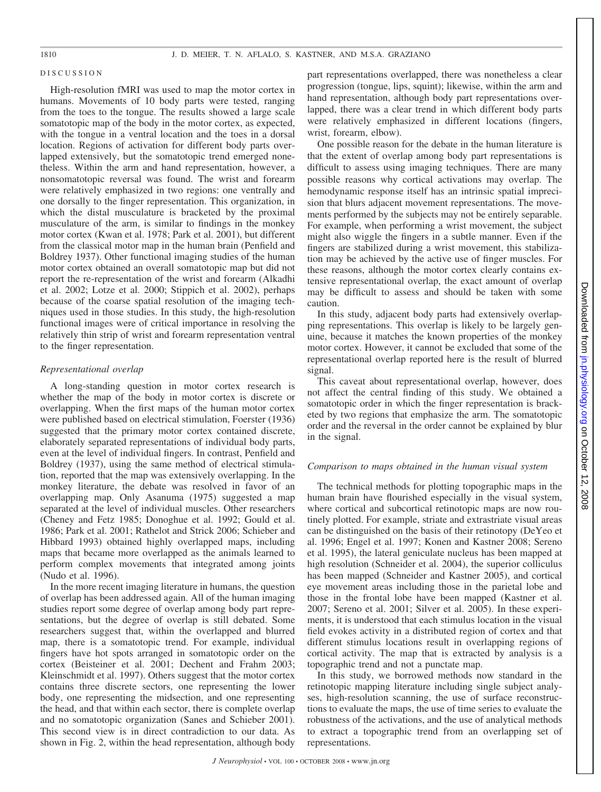#### DISCUSSION

High-resolution fMRI was used to map the motor cortex in humans. Movements of 10 body parts were tested, ranging from the toes to the tongue. The results showed a large scale somatotopic map of the body in the motor cortex, as expected, with the tongue in a ventral location and the toes in a dorsal location. Regions of activation for different body parts overlapped extensively, but the somatotopic trend emerged nonetheless. Within the arm and hand representation, however, a nonsomatotopic reversal was found. The wrist and forearm were relatively emphasized in two regions: one ventrally and one dorsally to the finger representation. This organization, in which the distal musculature is bracketed by the proximal musculature of the arm, is similar to findings in the monkey motor cortex (Kwan et al. 1978; Park et al. 2001), but different from the classical motor map in the human brain (Penfield and Boldrey 1937). Other functional imaging studies of the human motor cortex obtained an overall somatotopic map but did not report the re-representation of the wrist and forearm (Alkadhi et al. 2002; Lotze et al. 2000; Stippich et al. 2002), perhaps because of the coarse spatial resolution of the imaging techniques used in those studies. In this study, the high-resolution functional images were of critical importance in resolving the relatively thin strip of wrist and forearm representation ventral to the finger representation.

# *Representational overlap*

A long-standing question in motor cortex research is whether the map of the body in motor cortex is discrete or overlapping. When the first maps of the human motor cortex were published based on electrical stimulation, Foerster (1936) suggested that the primary motor cortex contained discrete, elaborately separated representations of individual body parts, even at the level of individual fingers. In contrast, Penfield and Boldrey (1937), using the same method of electrical stimulation, reported that the map was extensively overlapping. In the monkey literature, the debate was resolved in favor of an overlapping map. Only Asanuma (1975) suggested a map separated at the level of individual muscles. Other researchers (Cheney and Fetz 1985; Donoghue et al. 1992; Gould et al. 1986; Park et al. 2001; Rathelot and Strick 2006; Schieber and Hibbard 1993) obtained highly overlapped maps, including maps that became more overlapped as the animals learned to perform complex movements that integrated among joints (Nudo et al. 1996).

In the more recent imaging literature in humans, the question of overlap has been addressed again. All of the human imaging studies report some degree of overlap among body part representations, but the degree of overlap is still debated. Some researchers suggest that, within the overlapped and blurred map, there is a somatotopic trend. For example, individual fingers have hot spots arranged in somatotopic order on the cortex (Beisteiner et al. 2001; Dechent and Frahm 2003; Kleinschmidt et al. 1997). Others suggest that the motor cortex contains three discrete sectors, one representing the lower body, one representing the midsection, and one representing the head, and that within each sector, there is complete overlap and no somatotopic organization (Sanes and Schieber 2001). This second view is in direct contradiction to our data. As shown in Fig. 2, within the head representation, although body part representations overlapped, there was nonetheless a clear progression (tongue, lips, squint); likewise, within the arm and hand representation, although body part representations overlapped, there was a clear trend in which different body parts were relatively emphasized in different locations (fingers, wrist, forearm, elbow).

One possible reason for the debate in the human literature is that the extent of overlap among body part representations is difficult to assess using imaging techniques. There are many possible reasons why cortical activations may overlap. The hemodynamic response itself has an intrinsic spatial imprecision that blurs adjacent movement representations. The movements performed by the subjects may not be entirely separable. For example, when performing a wrist movement, the subject might also wiggle the fingers in a subtle manner. Even if the fingers are stabilized during a wrist movement, this stabilization may be achieved by the active use of finger muscles. For these reasons, although the motor cortex clearly contains extensive representational overlap, the exact amount of overlap may be difficult to assess and should be taken with some caution.

In this study, adjacent body parts had extensively overlapping representations. This overlap is likely to be largely genuine, because it matches the known properties of the monkey motor cortex. However, it cannot be excluded that some of the representational overlap reported here is the result of blurred signal.

This caveat about representational overlap, however, does not affect the central finding of this study. We obtained a somatotopic order in which the finger representation is bracketed by two regions that emphasize the arm. The somatotopic order and the reversal in the order cannot be explained by blur in the signal.

# *Comparison to maps obtained in the human visual system*

The technical methods for plotting topographic maps in the human brain have flourished especially in the visual system, where cortical and subcortical retinotopic maps are now routinely plotted. For example, striate and extrastriate visual areas can be distinguished on the basis of their retinotopy (DeYeo et al. 1996; Engel et al. 1997; Konen and Kastner 2008; Sereno et al. 1995), the lateral geniculate nucleus has been mapped at high resolution (Schneider et al. 2004), the superior colliculus has been mapped (Schneider and Kastner 2005), and cortical eye movement areas including those in the parietal lobe and those in the frontal lobe have been mapped (Kastner et al. 2007; Sereno et al. 2001; Silver et al. 2005). In these experiments, it is understood that each stimulus location in the visual field evokes activity in a distributed region of cortex and that different stimulus locations result in overlapping regions of cortical activity. The map that is extracted by analysis is a topographic trend and not a punctate map.

In this study, we borrowed methods now standard in the retinotopic mapping literature including single subject analyses, high-resolution scanning, the use of surface reconstructions to evaluate the maps, the use of time series to evaluate the robustness of the activations, and the use of analytical methods to extract a topographic trend from an overlapping set of representations.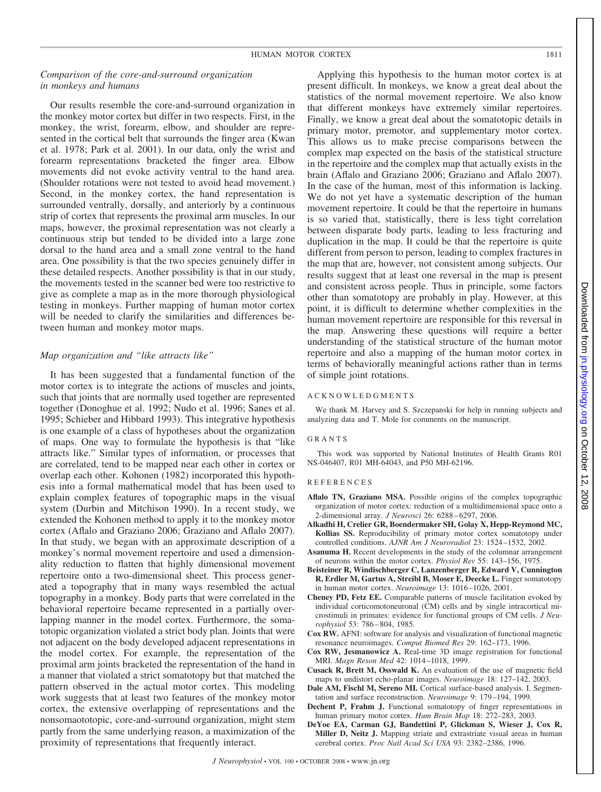# *Comparison of the core-and-surround organization in monkeys and humans*

Our results resemble the core-and-surround organization in the monkey motor cortex but differ in two respects. First, in the monkey, the wrist, forearm, elbow, and shoulder are represented in the cortical belt that surrounds the finger area (Kwan et al. 1978; Park et al. 2001). In our data, only the wrist and forearm representations bracketed the finger area. Elbow movements did not evoke activity ventral to the hand area. (Shoulder rotations were not tested to avoid head movement.) Second, in the monkey cortex, the hand representation is surrounded ventrally, dorsally, and anteriorly by a continuous strip of cortex that represents the proximal arm muscles. In our maps, however, the proximal representation was not clearly a continuous strip but tended to be divided into a large zone dorsal to the hand area and a small zone ventral to the hand area. One possibility is that the two species genuinely differ in these detailed respects. Another possibility is that in our study, the movements tested in the scanner bed were too restrictive to give as complete a map as in the more thorough physiological testing in monkeys. Further mapping of human motor cortex will be needed to clarify the similarities and differences between human and monkey motor maps.

#### *Map organization and "like attracts like"*

It has been suggested that a fundamental function of the motor cortex is to integrate the actions of muscles and joints, such that joints that are normally used together are represented together (Donoghue et al. 1992; Nudo et al. 1996; Sanes et al. 1995; Schieber and Hibbard 1993). This integrative hypothesis is one example of a class of hypotheses about the organization of maps. One way to formulate the hypothesis is that "like attracts like." Similar types of information, or processes that are correlated, tend to be mapped near each other in cortex or overlap each other. Kohonen (1982) incorporated this hypothesis into a formal mathematical model that has been used to explain complex features of topographic maps in the visual system (Durbin and Mitchison 1990). In a recent study, we extended the Kohonen method to apply it to the monkey motor cortex (Aflalo and Graziano 2006; Graziano and Aflalo 2007). In that study, we began with an approximate description of a monkey's normal movement repertoire and used a dimensionality reduction to flatten that highly dimensional movement repertoire onto a two-dimensional sheet. This process generated a topography that in many ways resembled the actual topography in a monkey. Body parts that were correlated in the behavioral repertoire became represented in a partially overlapping manner in the model cortex. Furthermore, the somatotopic organization violated a strict body plan. Joints that were not adjacent on the body developed adjacent representations in the model cortex. For example, the representation of the proximal arm joints bracketed the representation of the hand in a manner that violated a strict somatotopy but that matched the pattern observed in the actual motor cortex. This modeling work suggests that at least two features of the monkey motor cortex, the extensive overlapping of representations and the nonsomaototopic, core-and-surround organization, might stem partly from the same underlying reason, a maximization of the proximity of representations that frequently interact.

Applying this hypothesis to the human motor cortex is at present difficult. In monkeys, we know a great deal about the statistics of the normal movement repertoire. We also know that different monkeys have extremely similar repertoires. Finally, we know a great deal about the somatotopic details in primary motor, premotor, and supplementary motor cortex. This allows us to make precise comparisons between the complex map expected on the basis of the statistical structure in the repertoire and the complex map that actually exists in the brain (Aflalo and Graziano 2006; Graziano and Aflalo 2007). In the case of the human, most of this information is lacking. We do not yet have a systematic description of the human movement repertoire. It could be that the repertoire in humans is so varied that, statistically, there is less tight correlation between disparate body parts, leading to less fracturing and duplication in the map. It could be that the repertoire is quite different from person to person, leading to complex fractures in the map that are, however, not consistent among subjects. Our results suggest that at least one reversal in the map is present and consistent across people. Thus in principle, some factors other than somatotopy are probably in play. However, at this point, it is difficult to determine whether complexities in the human movement repertoire are responsible for this reversal in the map. Answering these questions will require a better understanding of the statistical structure of the human motor repertoire and also a mapping of the human motor cortex in terms of behaviorally meaningful actions rather than in terms of simple joint rotations.

#### ACKNOWLEDGMENTS

We thank M. Harvey and S. Szczepanski for help in running subjects and analyzing data and T. Mole for comments on the manuscript.

#### GRANTS

This work was supported by National Institutes of Health Grants R01 NS-046407, R01 MH-64043, and P50 MH-62196.

#### **REFERENCES**

- **Aflalo TN, Graziano MSA.** Possible origins of the complex topographic organization of motor cortex: reduction of a multidimensional space onto a 2-dimensional array. *J Neurosci* 26: 6288 – 6297, 2006.
- **Alkadhi H, Crelier GR, Boendermaker SH, Golay X, Hepp-Reymond MC, Kollias SS.** Reproducibility of primary motor cortex somatotopy under controlled conditions. *AJNR Am J Neuroradiol* 23: 1524 –1532, 2002.
- **Asanuma H.** Recent developments in the study of the columnar arrangement of neurons within the motor cortex. *Physiol Rev* 55: 143–156, 1975.
- **Beisteiner R, Windischberger C, Lanzenberger R, Edward V, Cunnington R, Erdler M, Gartus A, Streibl B, Moser E, Deecke L.** Finger somatotopy in human motor cortex. *Neuroimage* 13: 1016 –1026, 2001.
- **Cheney PD, Fetz EE.** Comparable patterns of muscle facilitation evoked by individual corticomotoneuronal (CM) cells and by single intracortical microstimuli in primates: evidence for functional groups of CM cells. *J Neurophysiol* 53: 786 – 804, 1985.
- **Cox RW.** AFNI: software for analysis and visualization of functional magnetic resonance neuroimages. *Comput Biomed Res* 29: 162–173, 1996.
- **Cox RW, Jesmanowicz A.** Real-time 3D image registration for functional MRI. *Magn Reson Med* 42: 1014 –1018, 1999.
- **Cusack R, Brett M, Osswald K.** An evaluation of the use of magnetic field maps to undistort echo-planar images. *Neuroimage* 18: 127–142, 2003.
- **Dale AM, Fischl M, Sereno MI.** Cortical surface-based analysis. I. Segmentation and surface reconstruction. *Neuroimage* 9: 179 –194, 1999.
- **Dechent P, Frahm J.** Functional somatotopy of finger representations in human primary motor cortex. *Hum Brain Map* 18: 272–283, 2003.
- **DeYoe EA, Carman GJ, Bandettini P, Glickman S, Wieser J, Cox R, Miller D, Neitz J.** Mapping striate and extrastriate visual areas in human cerebral cortex. *Proc Natl Acad Sci USA* 93: 2382–2386, 1996.